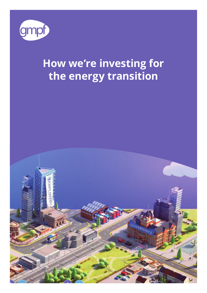

# **How we're investing for the energy transition**

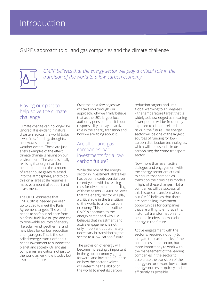## **Introduction**

GMPF's approach to oil and gas companies and the climate challenge



*GMPF believes that the energy sector will play a critical role in the transition of the world to a low-carbon economy*

#### Playing our part to help solve the climate challenge

Climate change can no longer be ignored. It is evident in natural disasters across the world today – wildfires, flooding, droughts, heat waves and extreme weather events. These are just a few examples of the effect climate change is having on our environment. The world is finally realising that urgent action is needed to reduce the amount of greenhouse gases released into the atmosphere, and to do this on a large scale requires a massive amount of support and investment.

The OECD estimates that USD 6.9tn is needed per year up to 2030 to meet the Paris Agreement targets. The world needs to shift our reliance from old fossil fuels like oil, gas and coal to renewable sources of energy like solar, wind, geothermal and new ideas for carbon reduction and hydrogen. This is the socalled 'energy transition' and it needs investment to support the planet and society. Oil and gas companies are critical not just to the world as we know it today but also in the future.

Over the next few pages we will take you through our approach, why we firmly believe that as the UK's largest local authority pension fund, it is our responsibility to play an active role in the energy transition and how we are going about it.

#### Are all oil and gas companies 'bad' investments for a lowcarbon future?

While the role of the energy sector in investment strategies has become controversial over recent years with increasing calls for divestment – or selling of these assets – GMPF believes that the energy sector will play a critical role in the transition of the world to a low-carbon economy. This paper outlines GMPF's approach to the energy sector and why GMPF believes that investment and active engagement is not only important but ultimately necessary in transitioning the sector to a low-carbon future.

The provision of energy will become increasingly important in the global economy going forward, and investor influence on how the sector evolves will determine the ability of the world to meet its carbon

reduction targets and limit global warming to 1.5 degrees – the temperature target that is widely acknowledged as meaning fewer people will be frequently exposed to climate-related risks in the future. The energy sector will be one of the largest sources of funding for lowcarbon distribution technologies, which will be essential in decarbonising the entire transport sector.

Now more than ever, active dialogue and engagement with the energy sector are critical to ensure that companies transition their business models in light of these changes. Not all companies will be successful in this historical transformation, but GMPF believes that there are compelling investment opportunities for companies that are willing to embrace this historical transformation and become leaders in low-carbon energy in the future.

Active engagement with the sector is required not only to mitigate the carbon risks of the companies in the sector, but more importantly to work with the management of the leading companies in the sector to accelerate the transition of the energy sector toward low-carbon energy sources as quickly and as efficiently as possible.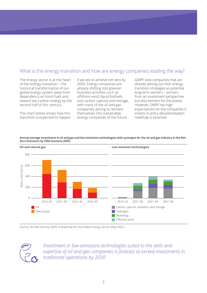### What is the energy transition and how are energy companies leading the way?

The energy sector is at the heart of the 'energy transition' – the historical transformation of our global energy system away from dependency on fossil fuels and toward low-carbon energy by the second half of this century.

The chart below shows how this transition is expected to happen if we are to achieve net zero by 2050. Energy companies are already shifting into greener business activities such as offshore wind, liquid biofuels and carbon capture and storage, with many of the oil and gas companies aiming to reinvent themselves into sustainable energy companies of the future.

GMPF view companies that are already setting out their energy transition strategies as potential long-term winners – winners from an investment perspective but also winners for the planet. However, GMPF has high expectations for the companies it invests in and a decarbonisation roadmap is essential.





Source: IEA Net Zero by 2050: A Roadmap for the Global Energy Sector (May 2021)



*Investment in low-emissions technologies suited to the skills and expertise of oil and gas companies is forecast to exceed investments in traditional operations by 2030*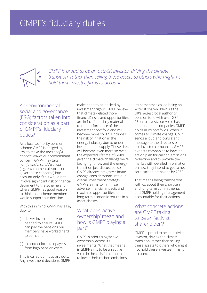*GMPF is proud to be an activist investor, driving the climate transition, rather than selling these assets to others who might not hold these investee firms to account.* 

#### Are environmental, social and governance (ESG) factors taken into consideration as a part of GMPF's fiduciary duties?

As a local authority pension scheme GMPF is obliged, by law, to make the *pursuit of a financial return* our predominant concern. GMPF may take *non-financial considerations* (e.g. environmental, social or governance concerns) into account only if this would not involve significant risk of financial detriment to the scheme and where GMPF has good reason to think that scheme members would support our decision.

With this in mind, GMPF has a key duty to:

- (i) deliver investment returns needed to ensure GMPF can pay the pensions our members have worked hard to earn; and
- (ii) to protect local tax-payers from high pension costs.

This is called our fiduciary duty. Any investment decisions GMPF

make need to be backed by investment rigour. GMPF believe that climate-related (nonfinancial) risks and opportunities are in fact financially material to the performance of the investment portfolio and will become more so. This includes the risk of inflation in the energy industry due to underinvestment in supply. These risks will become even more so over the expected lifetime of GMPF given the climate challenge we're facing right now and the energy transition just discussed, so GMPF already integrate climate change considerations into our overall investment strategy. GMPF's aim is to minimise adverse financial impacts and maximise opportunities for long-term economic returns in all asset classes.

#### What does 'active ownership' mean and how is GMPF playing a part?

GMPF is prioritising 'active ownership' across its investments. What that means is GMPF aims to be an active voice in the calls for companies to lower their carbon emissions. It's sometimes called being an 'activist shareholder'. As the UK's largest local authority pension fund with over GBP 28bn to invest, our voice has an impact on the companies GMPF holds in its portfolios. When it comes to climate change, GMPF sends a loud and consistent message to the directors of our investee companies. GMPF expects companies to have an action plan for carbon emissions reduction and to provide the market with detailed information on how they intend to get to net zero carbon emissions by 2050.

That means being transparent with us about their short-term and long-term commitments and GMPF holding management accountable for their actions.

#### What concrete actions are GMPF taking to be an 'activist shareholder'?

GMPF is proud to be an activist investor, driving the climate transition, rather than selling these assets to others who might not hold these investee firms to account.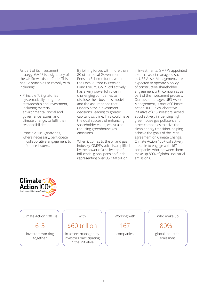As part of its investment strategy, GMPF is a signatory of the UK Stewardship Code. This has 12 principles to comply with, including:

- Principle 7: Signatories systematically integrate stewardship and investment, including material environmental, social and governance issues, and climate change, to fulfil their responsibilities.
- Principle 10: Signatories, where necessary, participate in collaborative engagement to influence issuers.

By joining forces with more than 80 other Local Government Pension Scheme funds within the Local Authority Pension Fund Forum, GMPF collectively has a very powerful voice in challenging companies to disclose their business models and the assumptions that underpin their investment decisions, leading to greater capital discipline. This could have the dual success of enhancing shareholder value, whilst also reducing greenhouse gas emissions.

When it comes to the oil and gas industry, GMPF's voice is amplified by the power of a collection of influential global pension funds representing over USD 60 trillion

in investments. GMPF's appointed external asset managers, such as UBS Asset Management, are expected to operate a policy of constructive shareholder engagement with companies as part of the investment process. Our asset manager, UBS Asset Management, is part of Climate Action 100+, a collaborative initiative of 615 investors, aimed at collectively influencing high greenhouse gas polluters and other companies to drive the clean energy transition, helping achieve the goals of the Paris agreement on Climate Change. Climate Action 100+ collectively are able to engage with 167 companies who, between them make up 80% of global industrial emissions.



Climate Action 100+ is 615 investors working together With \$60 trillion in assets managed by investors participating in the initiative Working with 167 companies Who make up 80%+ global industrial emissions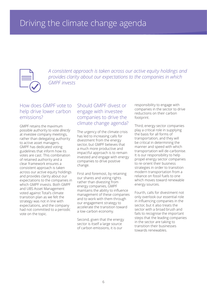

*A consistent approach is taken across our active equity holdings and provides clarity about our expectations to the companies in which GMPF invests*

#### How does GMPF vote to help drive lower carbon emissions?

GMPF retains the maximum possible authority to vote *directly* at investee company meetings, rather than delegating authority to active asset managers. GMPF has dedicated voting guidelines that inform how its votes are cast. This combination of retained authority and a clear framework ensures a consistent approach is taken across our active equity holdings and provides clarity about our expectations to the companies in which GMPF invests. Both GMPF and UBS Asset Management voted against Total's climate transition plan as we felt the strategy was not in line with expectations, and the company had not committed to a periodic vote on the topic.

#### Should GMPF divest or engage with investee companies to drive the climate change agenda?

The urgency of the climate crisis has led to increasing calls for divestment from the energy sector, but GMPF believes that a much more productive and impactful approach is to remain invested and engage with energy companies to drive positive change.

First and foremost, by retaining our shares and voting rights rather than divesting from energy companies, GMPF maintains the ability to influence management of these companies and to work with them through our engagement strategy to accelerate the transition toward a low-carbon economy.

Second, given that the energy sector is itself a large source of carbon emissions, it is our

responsibility to engage with companies in the sector to drive reductions on their carbon footprint.

Third, energy sector companies play a critical role in supplying the basis for all forms of transportation, and they will be critical in determining the manner and speed with which transportation will de-carbonise. It is our responsibility to help propel energy sector companies to re-orient their business strategies in order to transition modern transportation from a reliance on fossil fuels to one which moves toward renewable energy sources.

Fourth, calls for divestment not only overlook our essential role in influencing companies in the sector, but it also treats the sector with a broad brush and fails to recognise the important steps that the leading companies in the sector are taking to transition their businesses towards renewables.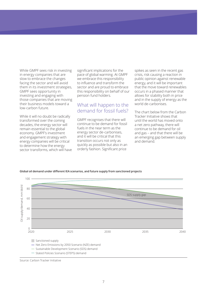While GMPF sees risk in investing in energy companies that are slow to embrace the changes facing the sector and will avoid them in its investment strategies, GMPF sees opportunity in investing and engaging with those companies that are moving their business models toward a low-carbon future.

While it will no doubt be radically transformed over the coming decades, the energy sector will remain essential to the global economy. GMPF's investment and engagement strategy with energy companies will be critical to determine how the energy sector transforms, which will have significant implications for the pace of global warming. At GMPF we embrace this responsibility to influence and transform the sector and are proud to embrace this responsibility on behalf of our pension fund holders.

#### What will happen to the demand for fossil fuels?

GMPF recognises that there will continue to be demand for fossil fuels in the near term as the energy sector de-carbonises, and it will be critical that this transition occurs not only as quickly as possible but also in an orderly fashion. Significant price

spikes as seen in the recent gas crisis, risk causing a reaction in public opinion against renewable energy, and it will be important that the move toward renewables occurs in a phased manner that allows for stability both in price and in the supply of energy as the world de-carbonises.

The chart below from the Carbon Tracker Initiative shows that until the world has moved onto a net zero pathway, there will continue to be demand for oil and gas – and that there will be an emerging gap between supply and demand.



**Global oil demand under different IEA scenarios, and future supply from sanctioned projects**

Source: Carbon Tracker Initiative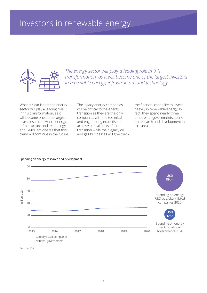

*The energy sector will play a leading role in this transformation, as it will become one of the largest investors in renewable energy, infrastructure and technology*

What is clear is that the energy sector will play a leading role in this transformation, as it will become one of the largest investors in renewable energy, infrastructure and technology, and GMPF anticipates that this trend will continue in the future.

The legacy energy companies will be critical to the energy transition as they are the only companies with the technical and engineering expertise to achieve critical parts of the transition while their legacy oil and gas businesses will give them the financial capability to invest heavily in renewable energy. In fact, they spend nearly three times what governments spend on research and development in this area.



#### **Spending on energy research and development**

Source: IEA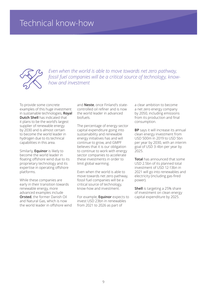### Technical know-how



*Even when the world is able to move towards net zero pathway, fossil fuel companies will be a critical source of technology, knowhow and investment*

To provide some concrete examples of this huge investment in sustainable technologies, **Royal Dutch Shell** has indicated that it plans to be the world's largest supplier of renewable energy by 2030 and is almost certain to become the world leader in hydrogen due to its technical capabilities in this area.

Similarly, **Equinor** is likely to become the world leader in floating offshore wind due to its proprietary technology and its expertise in operating offshore platforms.

While these companies are early in their transition towards renewable energy, more advanced examples include **Orsted**, the former Danish Oil and Natural Gas, which is now the world leader in offshore wind and **Neste**, once Finland's statecontrolled oil refiner and is now the world leader in advanced biofuels.

The percentage of energy sector capital expenditure going into sustainability and renewable energy initiatives has and will continue to grow, and GMPF believes that it is our obligation to continue to work with energy sector companies to accelerate these investments in order to limit global warming.

Even when the world is able to move towards net zero pathway, fossil fuel companies will be a critical source of technology, know-how and investment.

For example, **Equinor** expects to invest USD 23bn in renewables from 2021 to 2026 as part of

a clear ambition to become a net zero energy company by 2050, including emissions from its production and final consumption.

**BP** says it will increase its annual clean energy investment from USD 500m in 2019 to USD 5bn per year by 2030, with an interim goal of USD 3-4bn per year by 2025.

**Total** has announced that some USD 2.5bn of its planned total investment of USD 12-13bn in 2021 will go into renewables and electricity (including gas-fired power).

**Shell** is targeting a 25% share of investment on clean energy capital expenditure by 2025.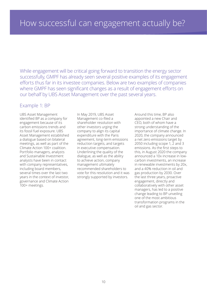While engagement will be critical going forward to transition the energy sector successfully, GMPF has already seen several positive examples of its engagement efforts thus far in its investee companies. Below are two examples of companies where GMPF has seen significant changes as a result of engagement efforts on our behalf by UBS Asset Management over the past several years.

#### Example 1: BP

UBS Asset Management identified BP as a company for engagement because of its carbon emissions trends and its fossil fuel exposure. UBS Asset Management established a dialogue based on bilateral meetings, as well as part of the Climate Action 100+ coalition. Portfolio managers, analysts and Sustainable Investment analysts have been in contact with company representatives, including board members, several times over the last two years in the context of investor, governance and Climate Action 100+ meetings.

In May 2019, UBS Asset Management co-filed a shareholder resolution with other investors urging the company to align its capital expenditure with the Paris agreement, long-term emissions reduction targets, and targets in executive compensation. Underlining the quality of the dialogue, as well as the ability to achieve action, company management ultimately recommended shareholders to vote for this resolution and it was strongly supported by investors.

Around this time, BP also appointed a new Chair and CEO, both of whom have a strong understanding of the importance of climate change. In 2020, the company announced a net zero emissions target by 2050 including scope 1, 2 and 3 emissions. As the first steps to this, in August 2020 the company announced a 10x increase in lowcarbon investments, an increase in renewable investments by 20x, and a 40% reduction in oil and gas production by 2030. Over the last three years, proactive engagement, directly and collaboratively with other asset managers, has led to a positive change leading to BP unveiling one of the most ambitious transformation programs in the oil and gas sector.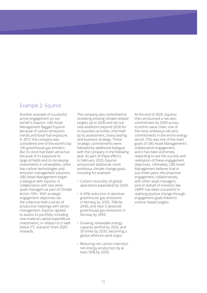#### Example 2: Equinor

Another example of successful active engagement on our behalf is Equinor. UBS Asset Management flagged Equinor because of carbon emissions trends and fossil fuel exposure. In 2017, the company was considered one of the world's top 100 greenhouse gas emitters. But its stock had been attractive because of its exposure to large oil fields and its increasing investments in renewables, other low-carbon technologies and emission management solutions. UBS Asset Management began a dialogue with Equinor, in collaboration with two other asset managers as part of Climate Action 100+. With strategic engagement objectives set, the collective held a series of productive meetings with senior management, Equinor agreed to assess its portfolio, including new material capital expenditure investments, in relation to a "well below 2°C scenario" from 2020 onwards.

The company also committed to reviewing existing climate-related targets up to 2030 and set out new ambitions beyond 2030 for its business activities, informed by its assessment, stress testing and business strategy. These strategic commitments were followed by additional dialogue with the company in the following year. As part of these efforts, in February 2020, Equinor announced additional, more ambitious climate change goals, including for example:

- Carbon neutrality of global operations (operated) by 2030.
- A 40% reduction in absolute greenhouse gas emissions in Norway by 2030, 70% by 2040, and near 0 absolute greenhouse gas emissions in Norway by 2050.
- Growing renewable energy capacity tenfold by 2026, and 30 times by 2035, becoming a global offshore wind major.
- Reducing net carbon intensity/ net energy production by at least 50% by 2050.

At the end of 2020, Equinor then announced a net-zero commitment by 2050 across its entire value chain, one of the most ambitious net-zero commitments in the entire energy sector. This was one of the main goals of UBS Asset Management's collaborative engagement, and it has been extremely rewarding to see the success and realisation of these engagement objectives. Ultimately, UBS Asset Management believes that in just three years, the proactive engagement, collaboratively with other asset managers and on behalf of investors like GMPF, has been successful in realising positive change through engagement goals linked to science-based targets.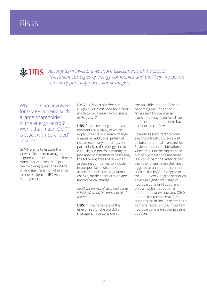### **SEE UBS**

*As long-term investors we make assessments of the capital investment strategies of energy companies and the likely impact on returns of pursuing particular strategies.* 

What risks are involved for GMPF in being such a large shareholder in the energy sector? Won't that mean GMPF is stuck with 'stranded' assets?

GMPF wants to ensure the views of its asset managers are aligned with theirs on the climate transition, and so GMPF put the following questions on the oil and gas transition challenge to one of them – UBS Asset Management.

*GMPF: Is there a risk that our energy investments and their assets will become stranded or worthless in the future?* 

**UBS**: Share investing comes with inherent risks, many of which apply universally. Climate change creates an additional potential risk across many industries, but particularly in the energy sector. As such, our portfolio managers pay specific attention to assessing the following areas of risk when assessing companies to include in our portfolio - stranded assets, financial risk, regulatory change, market acceleration and technological change.

*Spotlight on risk of stranded assets GMPF: What do "stranded assets" mean?*

**UBS**: In their analysis of the energy sector the portfolio managers have considered

the possible impact of assets becoming redundant or "stranded" by the energy transition away from fossil fuels and the impact that could have on future cash flows.

Stranded assets refer to both existing infrastructure as well as future potential investments. Environmental considerations which result in the rapid phaseout of hydrocarbons are more likely to impact the latter rather than the former. Even the most aggressive phase-out scenarios, such as the IPCC 1.5 degree or the IEA Below 2 degree scenarios, envisage significant usage of hydrocarbons until 2050 and only a modest reduction in demand between now and 2030. Indeed, the recent retail fuel supply crisis in the UK served as a demonstration of how important hydrocarbons are to our present day lives.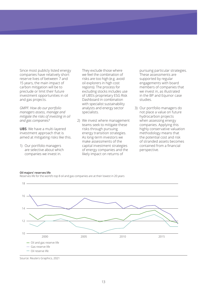Since most publicly listed energy companies have relatively short reserve lives of between 7 and 15 years, the main impact of carbon mitigation will be to preclude or limit their future investment opportunities in oil and gas projects.

*GMPF: How do our portfolio managers assess, manage and mitigate the risks of investing in oil and gas companies?*

**UBS**: We have a multi-layered investment approach that is aimed at mitigating risks like this.

1) Our portfolio managers are selective about which companies we invest in.

They exclude those where we feel the combination of risks are too high (e.g. avoid oil explorers in high cost regions). The process for excluding stocks includes use of UBS's proprietary ESG Risk Dashboard in combination with specialist sustainability analysts and energy sector specialists.

2) We invest where management teams seek to mitigate these risks through pursuing energy transition strategies. As long-term investors we make assessments of the capital investment strategies of energy companies and the likely impact on returns of

pursuing particular strategies. These assessments are supported by regular engagements with board members of companies that we invest in, as illustrated in the BP and Equinor case studies.

3) Our portfolio managers do not place a value on future hydrocarbon projects when assessing energy companies. Applying this highly conservative valuation methodology means that the potential cost and risk of stranded assets becomes contained from a financial perspective.



#### **Oil majors' reserves life**

Reserves life for the world's top 8 oil and gas companies are at their lowest in 20 years

Source: Reuters Graphics, 2021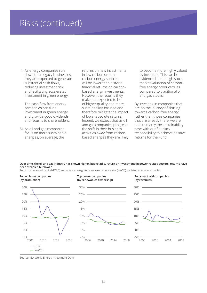### Risks (continued)

 4) As energy companies run down their legacy businesses, they are expected to generate substantial cash flows, reducing investment risk and facilitating accelerated investment in green energy.

The cash flow from energy companies can fund investment in green energy and provide good dividends and returns to shareholders.

5) As oil and gas companies focus on more sustainable energies, on average, the

returns on new investments in low carbon or noncarbon energy sources will be lower than historic financial returns on carbonbased energy investments. However, the returns they make are expected to be of higher quality and more sustainability-focused and therefore mitigate the impact of lower absolute returns. Indeed, we expect that as oil and gas companies progress the shift in their business activities away from carbonbased energies they are likely to become more highly valued by investors. This can be evidenced in the high stock market valuation of carbonfree energy producers, as compared to traditional oil and gas stocks.

By investing in companies that are on the journey of shifting towards carbon-free energy, rather than those companies that are already there, we are able to marry the sustainability case with our fiduciary responsibility to achieve positive returns for the Fund.

**Over time, the oil and gas industry has shown higher, but volatile, return on investment; in power-related sectors, returns have been steadier, but lower**

Return on invested capital (ROIC) and after-tax weighted average cost of capital (WACC) for listed energy companies



Source: IEA World Energy Investment 2019